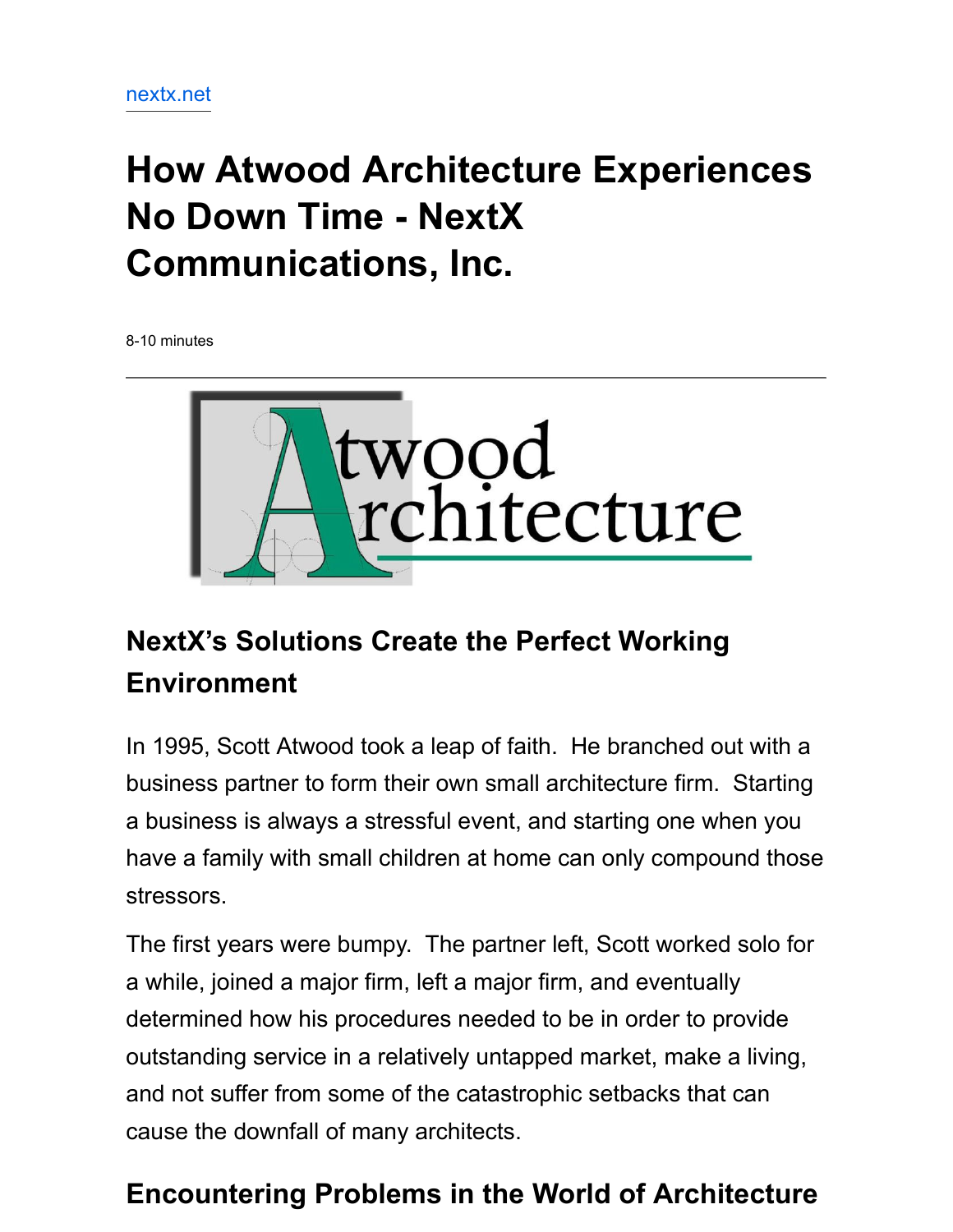# **How Atwood Architecture Experiences No Down Time - NextX Communications, Inc.**

8-10 minutes



## **NextX's Solutions Create the Perfect Working Environment**

In 1995, Scott Atwood took a leap of faith. He branched out with a business partner to form their own small architecture firm. Starting a business is always a stressful event, and starting one when you have a family with small children at home can only compound those stressors.

The first years were bumpy. The partner left, Scott worked solo for a while, joined a major firm, left a major firm, and eventually determined how his procedures needed to be in order to provide outstanding service in a relatively untapped market, make a living, and not suffer from some of the catastrophic setbacks that can cause the downfall of many architects.

#### **Encountering Problems in the World of Architecture**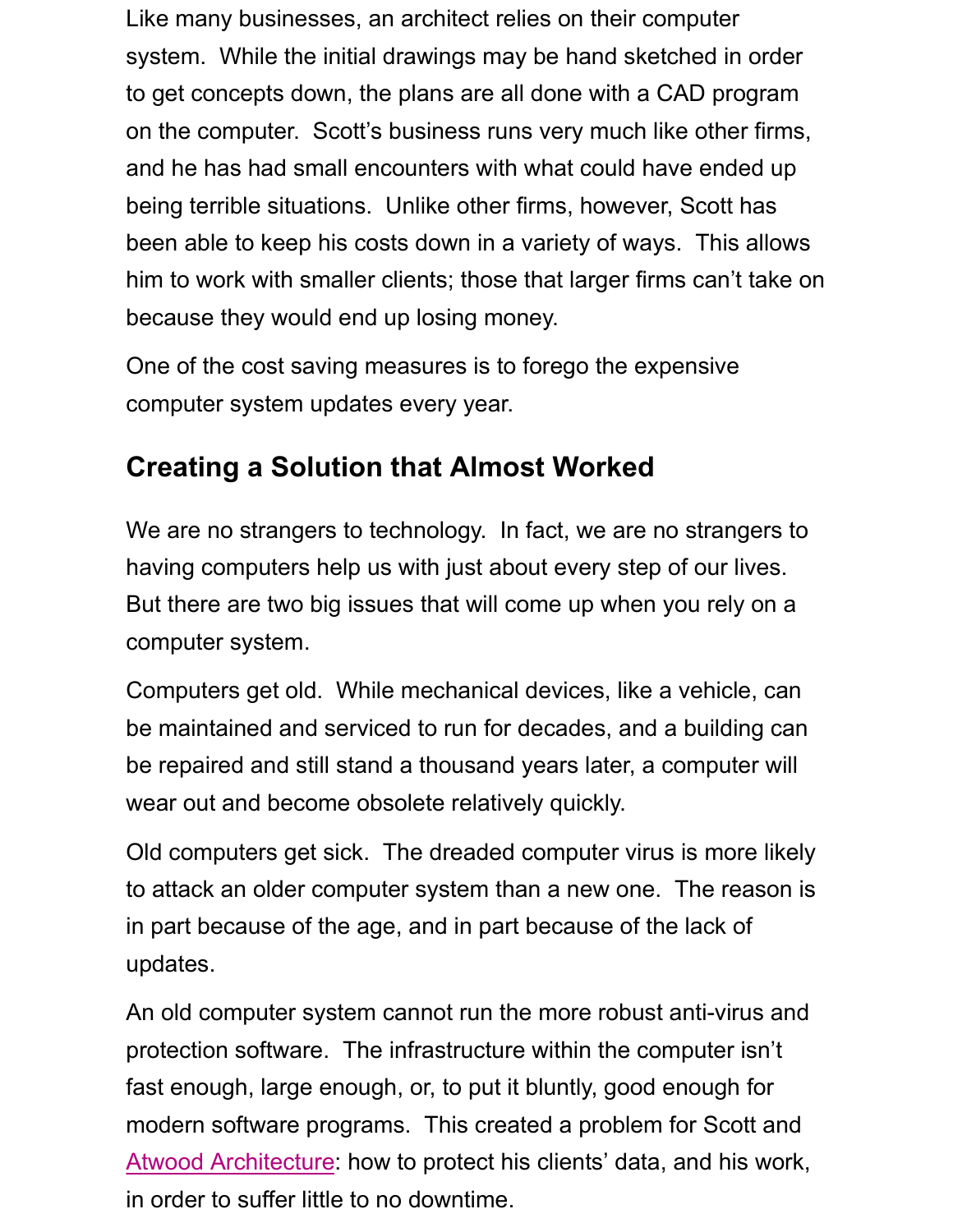Like many businesses, an architect relies on their computer system. While the initial drawings may be hand sketched in order to get concepts down, the plans are all done with a CAD program on the computer. Scott's business runs very much like other firms, and he has had small encounters with what could have ended up being terrible situations. Unlike other firms, however, Scott has been able to keep his costs down in a variety of ways. This allows him to work with smaller clients; those that larger firms can't take on because they would end up losing money.

One of the cost saving measures is to forego the expensive computer system updates every year.

#### **Creating a Solution that Almost Worked**

We are no strangers to technology. In fact, we are no strangers to having computers help us with just about every step of our lives. But there are two big issues that will come up when you rely on a computer system.

Computers get old. While mechanical devices, like a vehicle, can be maintained and serviced to run for decades, and a building can be repaired and still stand a thousand years later, a computer will wear out and become obsolete relatively quickly.

Old computers get sick. The dreaded computer virus is more likely to attack an older computer system than a new one. The reason is in part because of the age, and in part because of the lack of updates.

An old computer system cannot run the more robust anti-virus and protection software. The infrastructure within the computer isn't fast enough, large enough, or, to put it bluntly, good enough for modern software programs. This created a problem for Scott and Atwood Architecture: how to protect his clients' data, and his work, in order to suffer little to no downtime.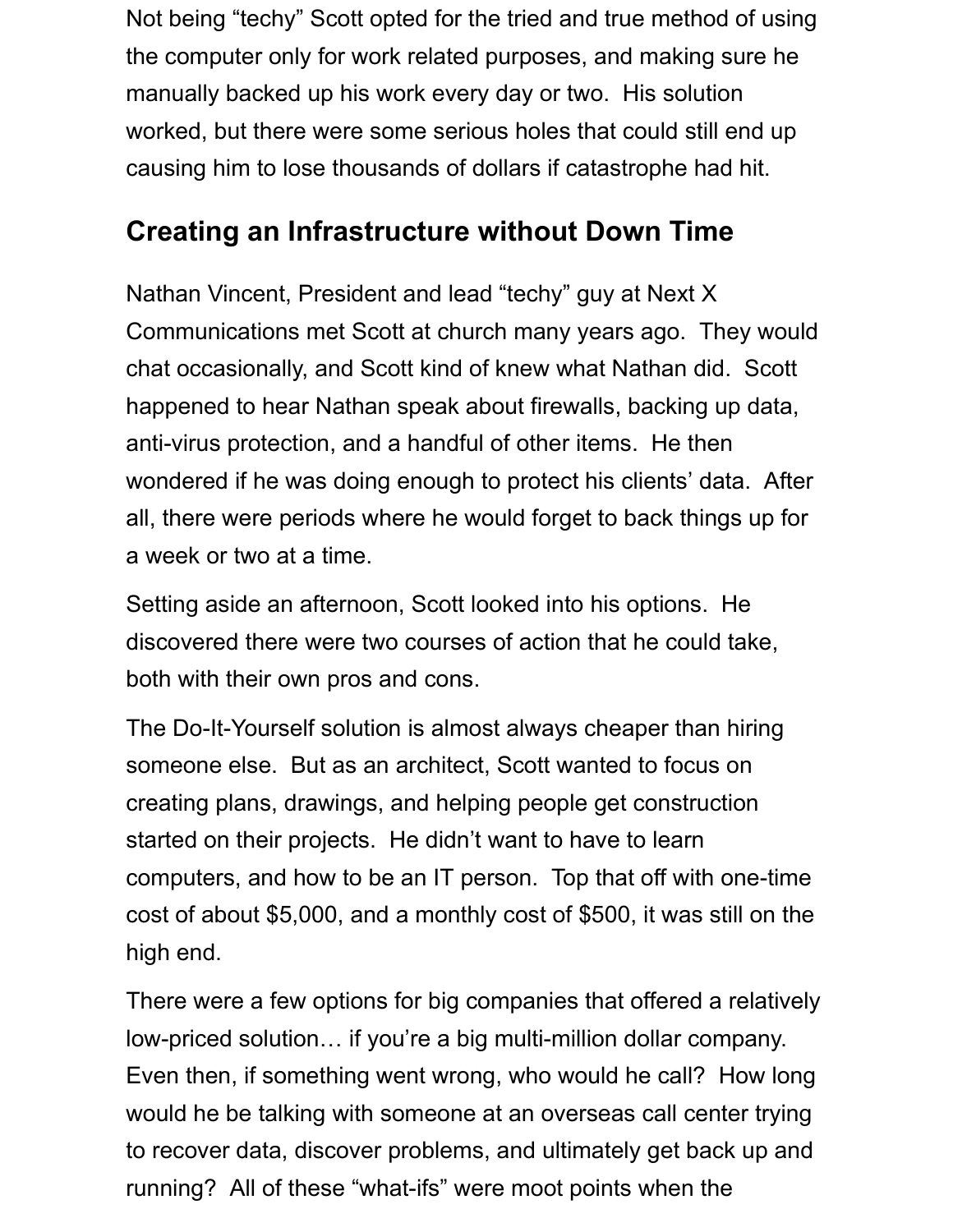Not being "techy" Scott opted for the tried and true method of using the computer only for work related purposes, and making sure he manually backed up his work every day or two. His solution worked, but there were some serious holes that could still end up causing him to lose thousands of dollars if catastrophe had hit.

#### **Creating an Infrastructure without Down Time**

Nathan Vincent, President and lead "techy" guy at Next X Communications met Scott at church many years ago. They would chat occasionally, and Scott kind of knew what Nathan did. Scott happened to hear Nathan speak about firewalls, backing up data, anti-virus protection, and a handful of other items. He then wondered if he was doing enough to protect his clients' data. After all, there were periods where he would forget to back things up for a week or two at a time.

Setting aside an afternoon, Scott looked into his options. He discovered there were two courses of action that he could take, both with their own pros and cons.

The Do-It-Yourself solution is almost always cheaper than hiring someone else. But as an architect, Scott wanted to focus on creating plans, drawings, and helping people get construction started on their projects. He didn't want to have to learn computers, and how to be an IT person. Top that off with one-time cost of about \$5,000, and a monthly cost of \$500, it was still on the high end.

There were a few options for big companies that offered a relatively low-priced solution… if you're a big multi-million dollar company. Even then, if something went wrong, who would he call? How long would he be talking with someone at an overseas call center trying to recover data, discover problems, and ultimately get back up and running? All of these "what-ifs" were moot points when the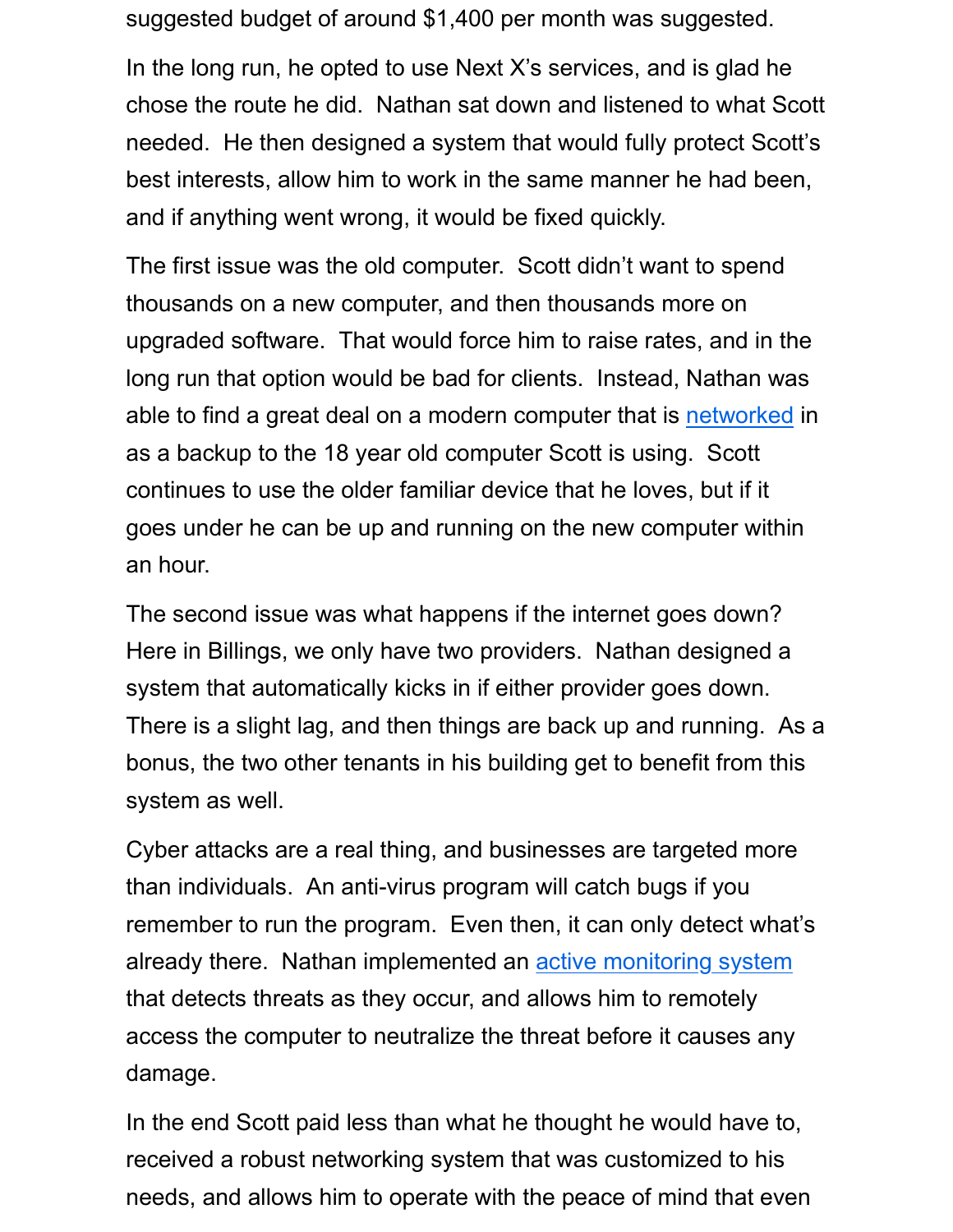suggested budget of around \$1,400 per month was suggested.

In the long run, he opted to use Next X's services, and is glad he chose the route he did. Nathan sat down and listened to what Scott needed. He then designed a system that would fully protect Scott's best interests, allow him to work in the same manner he had been, and if anything went wrong, it would be fixed quickly.

The first issue was the old computer. Scott didn't want to spend thousands on a new computer, and then thousands more on upgraded software. That would force him to raise rates, and in the long run that option would be bad for clients. Instead, Nathan was able to find a great deal on a modern computer that is networked in as a backup to the 18 year old computer Scott is using. Scott continues to use the older familiar device that he loves, but if it goes under he can be up and running on the new computer within an hour.

The second issue was what happens if the internet goes down? Here in Billings, we only have two providers. Nathan designed a system that automatically kicks in if either provider goes down. There is a slight lag, and then things are back up and running. As a bonus, the two other tenants in his building get to benefit from this system as well.

Cyber attacks are a real thing, and businesses are targeted more than individuals. An anti-virus program will catch bugs if you remember to run the program. Even then, it can only detect what's already there. Nathan implemented an active monitoring system that detects threats as they occur, and allows him to remotely access the computer to neutralize the threat before it causes any damage.

In the end Scott paid less than what he thought he would have to, received a robust networking system that was customized to his needs, and allows him to operate with the peace of mind that even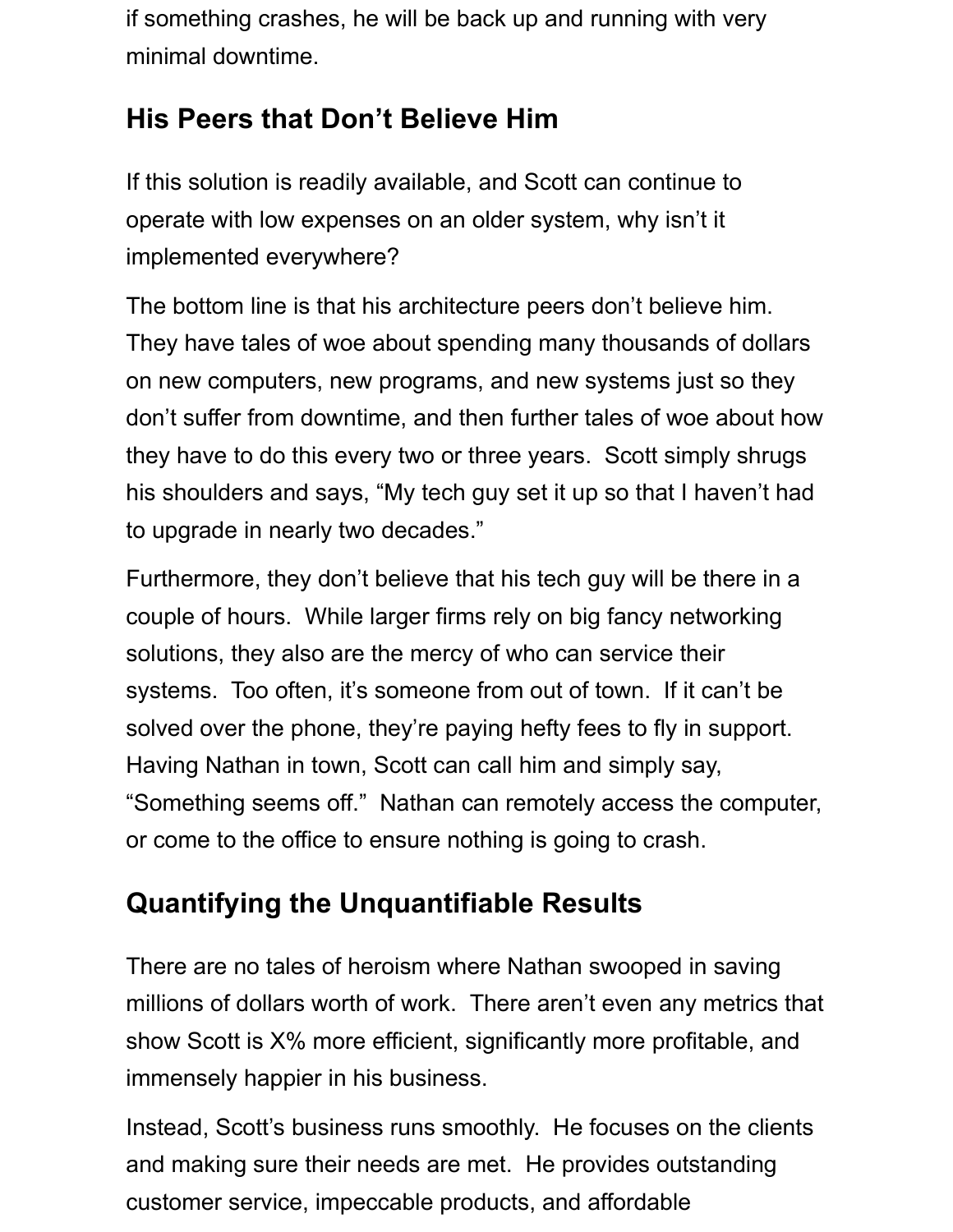if something crashes, he will be back up and running with very minimal downtime.

#### **His Peers that Don't Believe Him**

If this solution is readily available, and Scott can continue to operate with low expenses on an older system, why isn't it implemented everywhere?

The bottom line is that his architecture peers don't believe him. They have tales of woe about spending many thousands of dollars on new computers, new programs, and new systems just so they don't suffer from downtime, and then further tales of woe about how they have to do this every two or three years. Scott simply shrugs his shoulders and says, "My tech guy set it up so that I haven't had to upgrade in nearly two decades."

Furthermore, they don't believe that his tech guy will be there in a couple of hours. While larger firms rely on big fancy networking solutions, they also are the mercy of who can service their systems. Too often, it's someone from out of town. If it can't be solved over the phone, they're paying hefty fees to fly in support. Having Nathan in town, Scott can call him and simply say, "Something seems off." Nathan can remotely access the computer, or come to the office to ensure nothing is going to crash.

### **Quantifying the Unquantifiable Results**

There are no tales of heroism where Nathan swooped in saving millions of dollars worth of work. There aren't even any metrics that show Scott is X% more efficient, significantly more profitable, and immensely happier in his business.

Instead, Scott's business runs smoothly. He focuses on the clients and making sure their needs are met. He provides outstanding customer service, impeccable products, and affordable